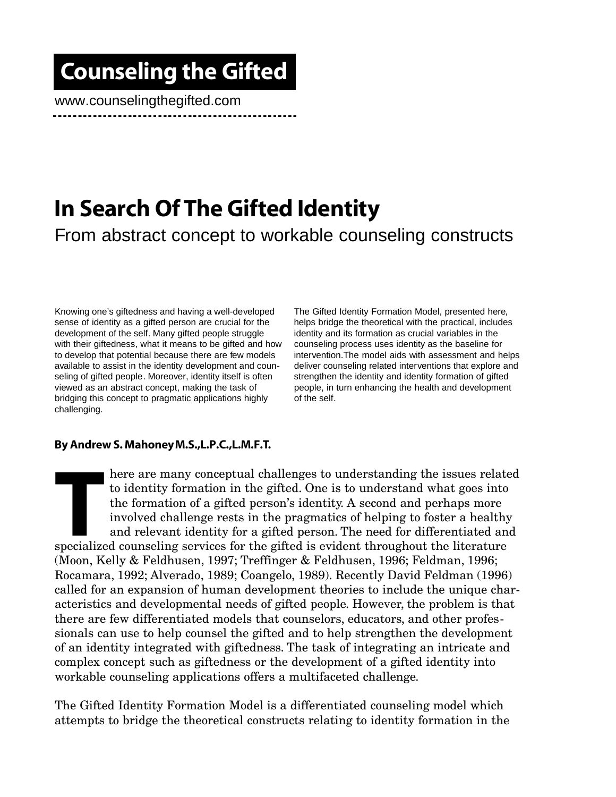## Counseling the Gifted

www.counselingthegifted.com

### In Search Of The Gifted Identity From abstract concept to workable counseling constructs

Knowing one's giftedness and having a well-developed sense of identity as a gifted person are crucial for the development of the self. Many gifted people struggle with their giftedness, what it means to be gifted and how to develop that potential because there are few models available to assist in the identity development and counseling of gifted people. Moreover, identity itself is often viewed as an abstract concept, making the task of bridging this concept to pragmatic applications highly challenging.

The Gifted Identity Formation Model, presented here, helps bridge the theoretical with the practical, includes identity and its formation as crucial variables in the counseling process uses identity as the baseline for intervention.The model aids with assessment and helps deliver counseling related interventions that explore and strengthen the identity and identity formation of gifted people, in turn enhancing the health and development of the self.

#### By Andrew S. Mahoney M.S.,L.P.C.,L.M.F.T.

Internation in the gifted. One is to understanding the issues relat to identity formation in the gifted. One is to understand what goes into the formation of a gifted person's identity. A second and perhaps more involved c here are many conceptual challenges to understanding the issues related to identity formation in the gifted. One is to understand what goes into the formation of a gifted person's identity. A second and perhaps more involved challenge rests in the pragmatics of helping to foster a healthy and relevant identity for a gifted person. The need for differentiated and (Moon, Kelly & Feldhusen, 1997; Treffinger & Feldhusen, 1996; Feldman, 1996; Rocamara, 1992; Alverado, 1989; Coangelo, 1989). Recently David Feldman (1996) called for an expansion of human development theories to include the unique characteristics and developmental needs of gifted people. However, the problem is that there are few differentiated models that counselors, educators, and other professionals can use to help counsel the gifted and to help strengthen the development of an identity integrated with giftedness. The task of integrating an intricate and complex concept such as giftedness or the development of a gifted identity into workable counseling applications offers a multifaceted challenge.

The Gifted Identity Formation Model is a differentiated counseling model which attempts to bridge the theoretical constructs relating to identity formation in the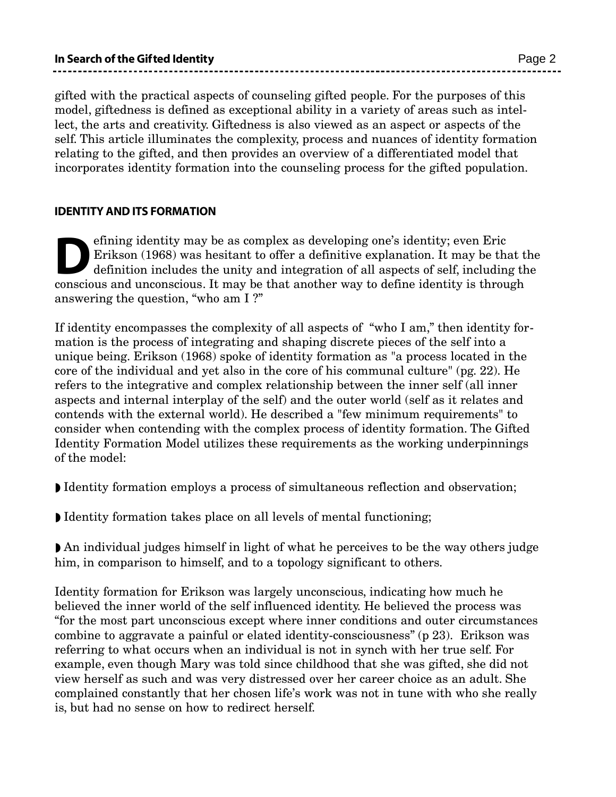gifted with the practical aspects of counseling gifted people. For the purposes of this model, giftedness is defined as exceptional ability in a variety of areas such as intellect, the arts and creativity. Giftedness is also viewed as an aspect or aspects of the self. This article illuminates the complexity, process and nuances of identity formation relating to the gifted, and then provides an overview of a differentiated model that incorporates identity formation into the counseling process for the gifted population.

#### IDENTITY AND ITS FORMATION

efining identity may be as complex as developing one's identity; even Eric Erikson (1968) was hesitant to offer a definitive explanation. It may be that another way to define identity is through conscious and unconscious. efining identity may be as complex as developing one's identity; even Eric Erikson (1968) was hesitant to offer a definitive explanation. It may be that the definition includes the unity and integration of all aspects of self, including the answering the question, "who am I ?"

If identity encompasses the complexity of all aspects of "who I am," then identity formation is the process of integrating and shaping discrete pieces of the self into a unique being. Erikson (1968) spoke of identity formation as "a process located in the core of the individual and yet also in the core of his communal culture" (pg. 22). He refers to the integrative and complex relationship between the inner self (all inner aspects and internal interplay of the self) and the outer world (self as it relates and contends with the external world). He described a "few minimum requirements" to consider when contending with the complex process of identity formation. The Gifted Identity Formation Model utilizes these requirements as the working underpinnings of the model:

- ◗ Identity formation employs a process of simultaneous reflection and observation;
- ◗ Identity formation takes place on all levels of mental functioning;

◗ An individual judges himself in light of what he perceives to be the way others judge him, in comparison to himself, and to a topology significant to others.

Identity formation for Erikson was largely unconscious, indicating how much he believed the inner world of the self influenced identity. He believed the process was "for the most part unconscious except where inner conditions and outer circumstances combine to aggravate a painful or elated identity-consciousness" (p 23). Erikson was referring to what occurs when an individual is not in synch with her true self. For example, even though Mary was told since childhood that she was gifted, she did not view herself as such and was very distressed over her career choice as an adult. She complained constantly that her chosen life's work was not in tune with who she really is, but had no sense on how to redirect herself.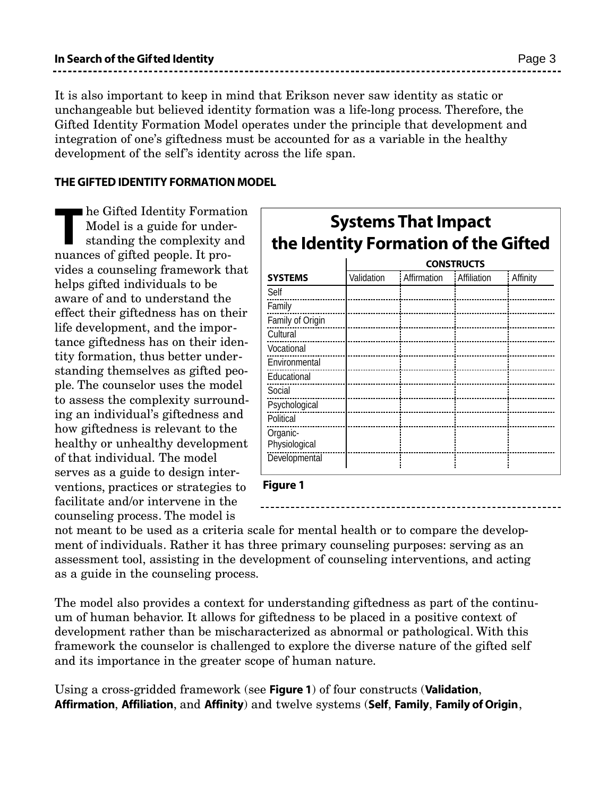It is also important to keep in mind that Erikson never saw identity as static or unchangeable but believed identity formation was a life-long process. Therefore, the Gifted Identity Formation Model operates under the principle that development and integration of one's giftedness must be accounted for as a variable in the healthy development of the self's identity across the life span.

#### THE GIFTED IDENTITY FORMATION MODEL

ne Gifted Identity Format<br>Model is a guide for under<br>standing the complexity a<br>nuances of gifted people. It prohe Gifted Identity Formation Model is a guide for understanding the complexity and vides a counseling framework that helps gifted individuals to be aware of and to understand the effect their giftedness has on their life development, and the importance giftedness has on their identity formation, thus better understanding themselves as gifted people. The counselor uses the model to assess the complexity surrounding an individual's giftedness and how giftedness is relevant to the healthy or unhealthy development of that individual. The model serves as a guide to design interventions, practices or strategies to facilitate and/or intervene in the counseling process. The model is

| <b>Systems That Impact</b><br>the Identity Formation of the Gifted |                   |             |             |          |  |  |
|--------------------------------------------------------------------|-------------------|-------------|-------------|----------|--|--|
|                                                                    | <b>CONSTRUCTS</b> |             |             |          |  |  |
| <b>SYSTEMS</b>                                                     | Validation        | Affirmation | Affiliation | Affinity |  |  |
| Self                                                               |                   |             |             |          |  |  |
| Family                                                             |                   |             |             |          |  |  |
| Family of Origin                                                   |                   |             |             |          |  |  |
| Cultural                                                           |                   |             |             |          |  |  |
| Vocational                                                         |                   |             |             |          |  |  |
| Environmental                                                      |                   |             |             |          |  |  |
| Educational                                                        |                   |             |             |          |  |  |
| Social                                                             |                   |             |             |          |  |  |
| Psychological                                                      |                   |             |             |          |  |  |
| Political                                                          |                   |             |             |          |  |  |
| Organic-                                                           |                   |             |             |          |  |  |
| Physiological                                                      |                   |             |             |          |  |  |
| Developmental                                                      |                   |             |             |          |  |  |

Figure 1

not meant to be used as a criteria scale for mental health or to compare the development of individuals. Rather it has three primary counseling purposes: serving as an assessment tool, assisting in the development of counseling interventions, and acting as a guide in the counseling process.

The model also provides a context for understanding giftedness as part of the continuum of human behavior. It allows for giftedness to be placed in a positive context of development rather than be mischaracterized as abnormal or pathological. With this framework the counselor is challenged to explore the diverse nature of the gifted self and its importance in the greater scope of human nature.

Using a cross-gridded framework (see Figure 1) of four constructs (Validation, Affirmation, Affiliation, and Affinity) and twelve systems (Self, Family, Family of Origin,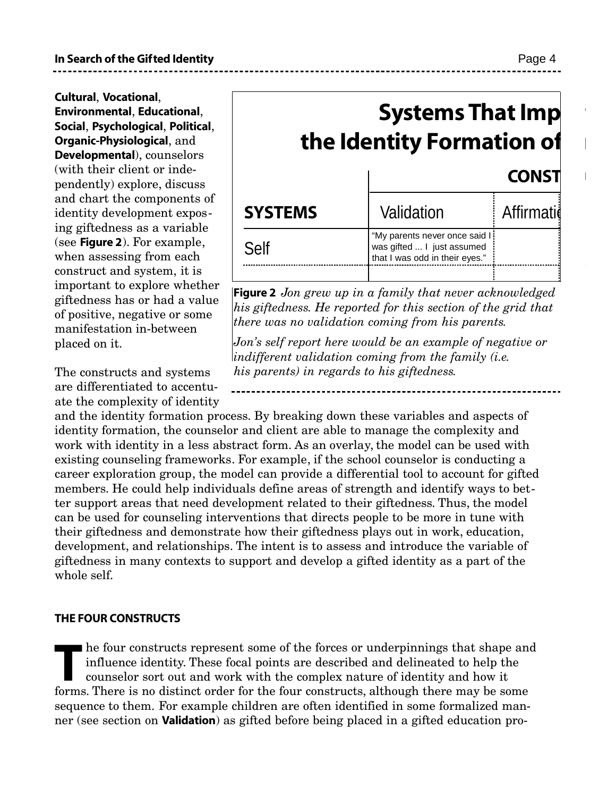Cultural, Vocational, Environmental, Educational, Social, Psychological, Political, Organic-Physiological, and Developmental), counselors (with their client or independently) explore, discuss and chart the components of identity development exposing giftedness as a variable (see Figure 2). For example, when assessing from each construct and system, it is important to explore whether giftedness has or had a value of positive, negative or some manifestation in-between placed on it.

The constructs and systems are differentiated to accentuate the complexity of identity

and the identity formation process. By breaking down these variables and aspects of identity formation, the counselor and client are able to manage the complexity and work with identity in a less abstract form. As an overlay, the model can be used with existing counseling frameworks. For example, if the school counselor is conducting a career exploration group, the model can provide a differential tool to account for gifted members. He could help individuals define areas of strength and identify ways to better support areas that need development related to their giftedness. Thus, the model can be used for counseling interventions that directs people to be more in tune with their giftedness and demonstrate how their giftedness plays out in work, education, development, and relationships. The intent is to assess and introduce the variable of giftedness in many contexts to support and develop a gifted identity as a part of the whole self.

#### THE FOUR CONSTRUCTS

In the four constructs represent some of the forces or underpinnings that shape an influence identity. These focal points are described and delineated to help the counselor sort out and work with the complex nature of iden he four constructs represent some of the forces or underpinnings that shape and influence identity. These focal points are described and delineated to help the counselor sort out and work with the complex nature of identity and how it sequence to them. For example children are often identified in some formalized manner (see section on **Validation**) as gifted before being placed in a gifted education pro-

# **Systems That Imp** the Identity Formation of **CONST**

| <b>SYSTEMS</b> | Validation                                                                                    | <b>Affirmatid</b> |
|----------------|-----------------------------------------------------------------------------------------------|-------------------|
| Self           | "My parents never once said I<br>was gifted  I just assumed<br>that I was odd in their eyes." |                   |

Figure 2 *Jon grew up in a family that never acknowledged his giftedness. He reported for this section of the grid that there was no validation coming from his parents.*

*Jon's self report here would be an example of negative or indifferent validation coming from the family (i.e. his parents) in regards to his giftedness.*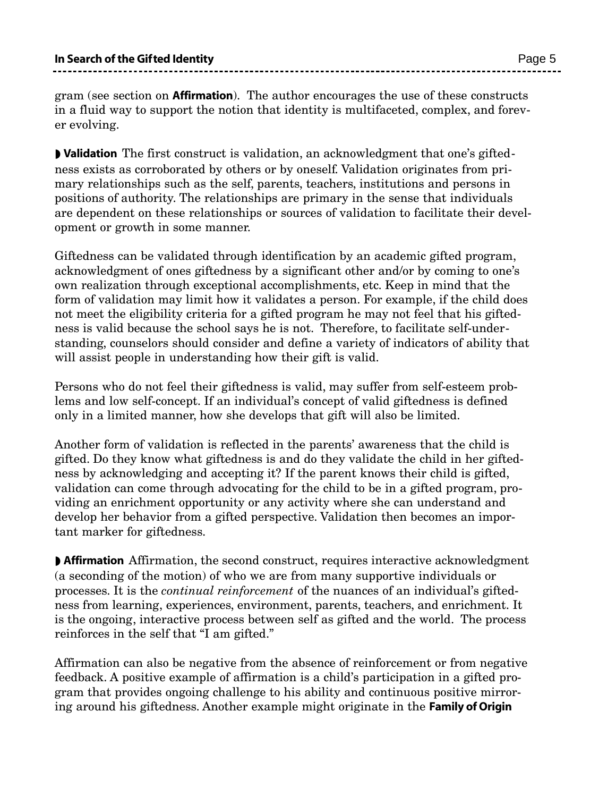gram (see section on Affirmation). The author encourages the use of these constructs in a fluid way to support the notion that identity is multifaceted, complex, and forever evolving.

◗ Validation The first construct is validation, an acknowledgment that one's giftedness exists as corroborated by others or by oneself. Validation originates from primary relationships such as the self, parents, teachers, institutions and persons in positions of authority. The relationships are primary in the sense that individuals are dependent on these relationships or sources of validation to facilitate their development or growth in some manner.

Giftedness can be validated through identification by an academic gifted program, acknowledgment of ones giftedness by a significant other and/or by coming to one's own realization through exceptional accomplishments, etc. Keep in mind that the form of validation may limit how it validates a person. For example, if the child does not meet the eligibility criteria for a gifted program he may not feel that his giftedness is valid because the school says he is not. Therefore, to facilitate self-understanding, counselors should consider and define a variety of indicators of ability that will assist people in understanding how their gift is valid.

Persons who do not feel their giftedness is valid, may suffer from self-esteem problems and low self-concept. If an individual's concept of valid giftedness is defined only in a limited manner, how she develops that gift will also be limited.

Another form of validation is reflected in the parents' awareness that the child is gifted. Do they know what giftedness is and do they validate the child in her giftedness by acknowledging and accepting it? If the parent knows their child is gifted, validation can come through advocating for the child to be in a gifted program, providing an enrichment opportunity or any activity where she can understand and develop her behavior from a gifted perspective. Validation then becomes an important marker for giftedness.

◗ Affirmation Affirmation, the second construct, requires interactive acknowledgment (a seconding of the motion) of who we are from many supportive individuals or processes. It is the *continual reinforcement* of the nuances of an individual's giftedness from learning, experiences, environment, parents, teachers, and enrichment. It is the ongoing, interactive process between self as gifted and the world. The process reinforces in the self that "I am gifted."

Affirmation can also be negative from the absence of reinforcement or from negative feedback. A positive example of affirmation is a child's participation in a gifted program that provides ongoing challenge to his ability and continuous positive mirroring around his giftedness. Another example might originate in the Family of Origin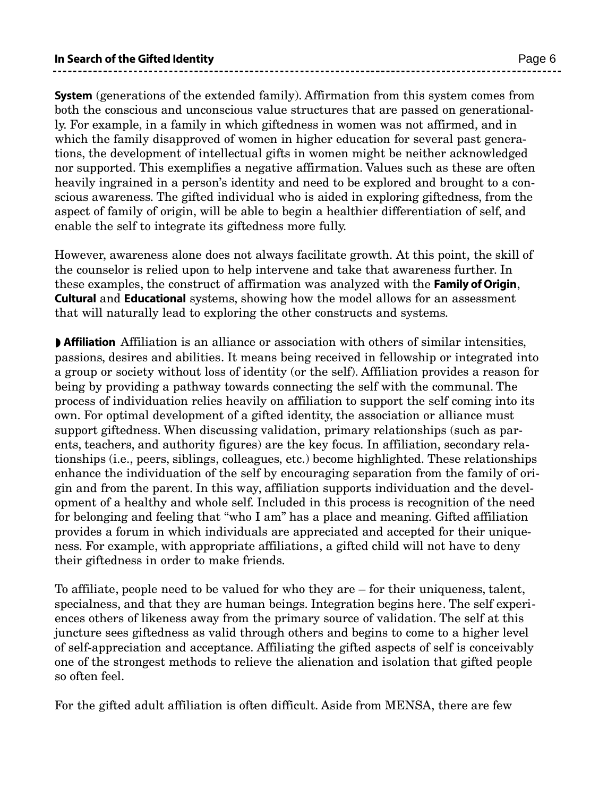System (generations of the extended family). Affirmation from this system comes from both the conscious and unconscious value structures that are passed on generationally. For example, in a family in which giftedness in women was not affirmed, and in which the family disapproved of women in higher education for several past generations, the development of intellectual gifts in women might be neither acknowledged nor supported. This exemplifies a negative affirmation. Values such as these are often heavily ingrained in a person's identity and need to be explored and brought to a conscious awareness. The gifted individual who is aided in exploring giftedness, from the aspect of family of origin, will be able to begin a healthier differentiation of self, and enable the self to integrate its giftedness more fully.

However, awareness alone does not always facilitate growth. At this point, the skill of the counselor is relied upon to help intervene and take that awareness further. In these examples, the construct of affirmation was analyzed with the Family of Origin, Cultural and Educational systems, showing how the model allows for an assessment that will naturally lead to exploring the other constructs and systems.

◗ Affiliation Affiliation is an alliance or association with others of similar intensities, passions, desires and abilities. It means being received in fellowship or integrated into a group or society without loss of identity (or the self). Affiliation provides a reason for being by providing a pathway towards connecting the self with the communal. The process of individuation relies heavily on affiliation to support the self coming into its own. For optimal development of a gifted identity, the association or alliance must support giftedness. When discussing validation, primary relationships (such as parents, teachers, and authority figures) are the key focus. In affiliation, secondary relationships (i.e., peers, siblings, colleagues, etc.) become highlighted. These relationships enhance the individuation of the self by encouraging separation from the family of origin and from the parent. In this way, affiliation supports individuation and the development of a healthy and whole self. Included in this process is recognition of the need for belonging and feeling that "who I am" has a place and meaning. Gifted affiliation provides a forum in which individuals are appreciated and accepted for their uniqueness. For example, with appropriate affiliations, a gifted child will not have to deny their giftedness in order to make friends.

To affiliate, people need to be valued for who they are – for their uniqueness, talent, specialness, and that they are human beings. Integration begins here. The self experiences others of likeness away from the primary source of validation. The self at this juncture sees giftedness as valid through others and begins to come to a higher level of self-appreciation and acceptance. Affiliating the gifted aspects of self is conceivably one of the strongest methods to relieve the alienation and isolation that gifted people so often feel.

For the gifted adult affiliation is often difficult. Aside from MENSA, there are few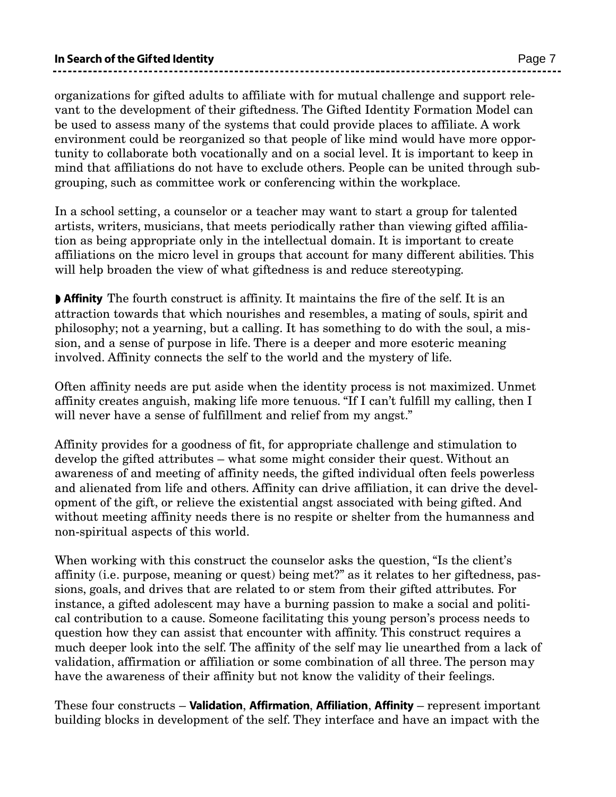organizations for gifted adults to affiliate with for mutual challenge and support relevant to the development of their giftedness. The Gifted Identity Formation Model can be used to assess many of the systems that could provide places to affiliate. A work environment could be reorganized so that people of like mind would have more opportunity to collaborate both vocationally and on a social level. It is important to keep in mind that affiliations do not have to exclude others. People can be united through subgrouping, such as committee work or conferencing within the workplace.

In a school setting, a counselor or a teacher may want to start a group for talented artists, writers, musicians, that meets periodically rather than viewing gifted affiliation as being appropriate only in the intellectual domain. It is important to create affiliations on the micro level in groups that account for many different abilities. This will help broaden the view of what giftedness is and reduce stereotyping.

◗ Affinity The fourth construct is affinity. It maintains the fire of the self. It is an attraction towards that which nourishes and resembles, a mating of souls, spirit and philosophy; not a yearning, but a calling. It has something to do with the soul, a mission, and a sense of purpose in life. There is a deeper and more esoteric meaning involved. Affinity connects the self to the world and the mystery of life.

Often affinity needs are put aside when the identity process is not maximized. Unmet affinity creates anguish, making life more tenuous. "If I can't fulfill my calling, then I will never have a sense of fulfillment and relief from my angst."

Affinity provides for a goodness of fit, for appropriate challenge and stimulation to develop the gifted attributes – what some might consider their quest. Without an awareness of and meeting of affinity needs, the gifted individual often feels powerless and alienated from life and others. Affinity can drive affiliation, it can drive the development of the gift, or relieve the existential angst associated with being gifted. And without meeting affinity needs there is no respite or shelter from the humanness and non-spiritual aspects of this world.

When working with this construct the counselor asks the question, "Is the client's affinity (i.e. purpose, meaning or quest) being met?" as it relates to her giftedness, passions, goals, and drives that are related to or stem from their gifted attributes. For instance, a gifted adolescent may have a burning passion to make a social and political contribution to a cause. Someone facilitating this young person's process needs to question how they can assist that encounter with affinity. This construct requires a much deeper look into the self. The affinity of the self may lie unearthed from a lack of validation, affirmation or affiliation or some combination of all three. The person may have the awareness of their affinity but not know the validity of their feelings.

These four constructs – **Validation, Affirmation, Affiliation, Affinity** – represent important building blocks in development of the self. They interface and have an impact with the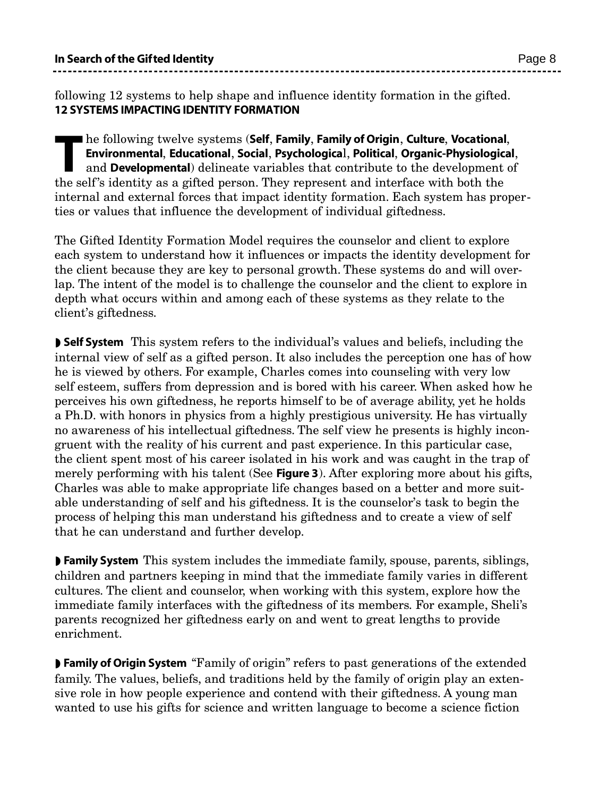following 12 systems to help shape and influence identity formation in the gifted. 12 SYSTEMS IMPACTING IDENTITY FORMATION

The following twelve systems (Self, Family, Family of Origin, Culture, Vocationa<br>Environmental, Educational, Social, Psychological, Political, Organic-Physiologic<br>and Developmental) delineate variables that contribute to t he following twelve systems (Self, Family, Family of Origin, Culture, Vocational, Environmental, Educational, Social, Psychological, Political, Organic-Physiological, and Developmental) delineate variables that contribute to the development of internal and external forces that impact identity formation. Each system has properties or values that influence the development of individual giftedness.

The Gifted Identity Formation Model requires the counselor and client to explore each system to understand how it influences or impacts the identity development for the client because they are key to personal growth. These systems do and will overlap. The intent of the model is to challenge the counselor and the client to explore in depth what occurs within and among each of these systems as they relate to the client's giftedness.

◗ Self System This system refers to the individual's values and beliefs, including the internal view of self as a gifted person. It also includes the perception one has of how he is viewed by others. For example, Charles comes into counseling with very low self esteem, suffers from depression and is bored with his career. When asked how he perceives his own giftedness, he reports himself to be of average ability, yet he holds a Ph.D. with honors in physics from a highly prestigious university. He has virtually no awareness of his intellectual giftedness. The self view he presents is highly incongruent with the reality of his current and past experience. In this particular case, the client spent most of his career isolated in his work and was caught in the trap of merely performing with his talent (See **Figure 3**). After exploring more about his gifts, Charles was able to make appropriate life changes based on a better and more suitable understanding of self and his giftedness. It is the counselor's task to begin the process of helping this man understand his giftedness and to create a view of self that he can understand and further develop.

◗ Family System This system includes the immediate family, spouse, parents, siblings, children and partners keeping in mind that the immediate family varies in different cultures. The client and counselor, when working with this system, explore how the immediate family interfaces with the giftedness of its members. For example, Sheli's parents recognized her giftedness early on and went to great lengths to provide enrichment.

◗ Family of Origin System "Family of origin" refers to past generations of the extended family. The values, beliefs, and traditions held by the family of origin play an extensive role in how people experience and contend with their giftedness. A young man wanted to use his gifts for science and written language to become a science fiction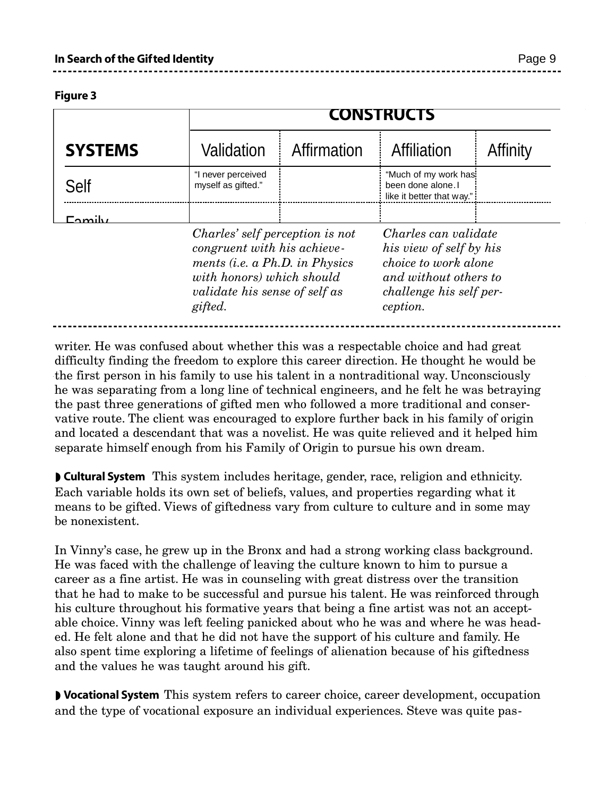Figure 3

|                |                                          | <b>CONSTRUCTS</b>                                                                                                                                                     |                                                                         |                                                                                                                                         |  |
|----------------|------------------------------------------|-----------------------------------------------------------------------------------------------------------------------------------------------------------------------|-------------------------------------------------------------------------|-----------------------------------------------------------------------------------------------------------------------------------------|--|
| <b>SYSTEMS</b> | Validation                               | Affirmation                                                                                                                                                           | <b>Affiliation</b>                                                      | Affinity                                                                                                                                |  |
| <b>Self</b>    | "I never perceived<br>myself as gifted." |                                                                                                                                                                       | "Much of my work has<br>been done alone. I<br>like it better that way." |                                                                                                                                         |  |
| =nmilv         |                                          |                                                                                                                                                                       |                                                                         |                                                                                                                                         |  |
|                | gifted.                                  | Charles' self perception is not<br>congruent with his achieve-<br>ments (i.e. a Ph.D. in Physics<br>with honors) which should<br><i>validate his sense of self as</i> |                                                                         | Charles can validate<br>his view of self by his<br>choice to work alone<br>and without others to<br>challenge his self per-<br>ception. |  |

the Identity Formation of the Gifted of the Gifted of the Gifted of the Gifted of the Gifted of the Gifted of <br>- The Gifted of the Gifted of the Gifted of the Gifted of the Gifted of the Gifted of the Gifted of the Gifted

writer. He was confused about whether this was a respectable choice and had great difficulty finding the freedom to explore this career direction. He thought he would be the first person in his family to use his talent in a nontraditional way. Unconsciously he was separating from a long line of technical engineers, and he felt he was betraying the past three generations of gifted men who followed a more traditional and conservative route. The client was encouraged to explore further back in his family of origin and located a descendant that was a novelist. He was quite relieved and it helped him separate himself enough from his Family of Origin to pursue his own dream.

◗ Cultural System This system includes heritage, gender, race, religion and ethnicity. Each variable holds its own set of beliefs, values, and properties regarding what it means to be gifted. Views of giftedness vary from culture to culture and in some may be nonexistent.

In Vinny's case, he grew up in the Bronx and had a strong working class background. He was faced with the challenge of leaving the culture known to him to pursue a career as a fine artist. He was in counseling with great distress over the transition that he had to make to be successful and pursue his talent. He was reinforced through his culture throughout his formative years that being a fine artist was not an acceptable choice. Vinny was left feeling panicked about who he was and where he was headed. He felt alone and that he did not have the support of his culture and family. He also spent time exploring a lifetime of feelings of alienation because of his giftedness and the values he was taught around his gift.

◗ Vocational System This system refers to career choice, career development, occupation and the type of vocational exposure an individual experiences. Steve was quite pas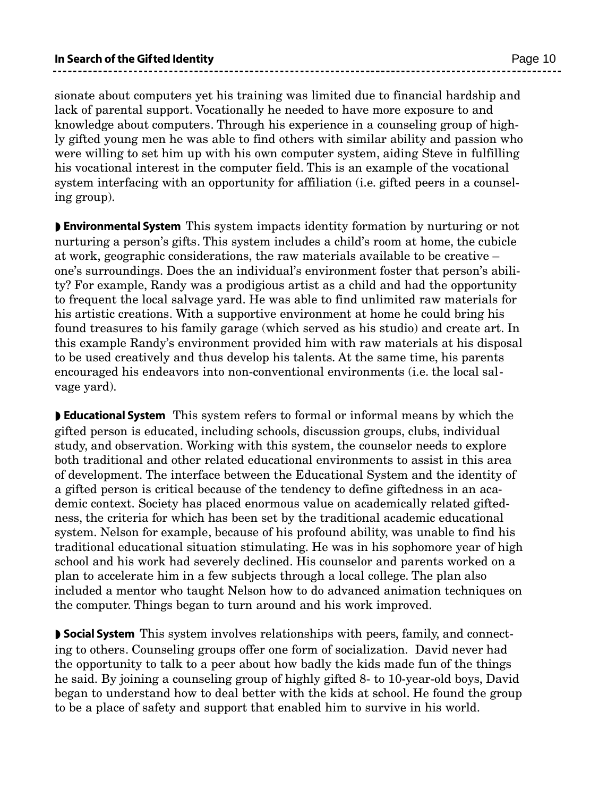sionate about computers yet his training was limited due to financial hardship and lack of parental support. Vocationally he needed to have more exposure to and knowledge about computers. Through his experience in a counseling group of highly gifted young men he was able to find others with similar ability and passion who were willing to set him up with his own computer system, aiding Steve in fulfilling his vocational interest in the computer field. This is an example of the vocational system interfacing with an opportunity for affiliation (i.e. gifted peers in a counseling group).

◗ Environmental System This system impacts identity formation by nurturing or not nurturing a person's gifts. This system includes a child's room at home, the cubicle at work, geographic considerations, the raw materials available to be creative – one's surroundings. Does the an individual's environment foster that person's ability? For example, Randy was a prodigious artist as a child and had the opportunity to frequent the local salvage yard. He was able to find unlimited raw materials for his artistic creations. With a supportive environment at home he could bring his found treasures to his family garage (which served as his studio) and create art. In this example Randy's environment provided him with raw materials at his disposal to be used creatively and thus develop his talents. At the same time, his parents encouraged his endeavors into non-conventional environments (i.e. the local salvage yard).

■ **Educational System** This system refers to formal or informal means by which the gifted person is educated, including schools, discussion groups, clubs, individual study, and observation. Working with this system, the counselor needs to explore both traditional and other related educational environments to assist in this area of development. The interface between the Educational System and the identity of a gifted person is critical because of the tendency to define giftedness in an academic context. Society has placed enormous value on academically related giftedness, the criteria for which has been set by the traditional academic educational system. Nelson for example, because of his profound ability, was unable to find his traditional educational situation stimulating. He was in his sophomore year of high school and his work had severely declined. His counselor and parents worked on a plan to accelerate him in a few subjects through a local college. The plan also included a mentor who taught Nelson how to do advanced animation techniques on the computer. Things began to turn around and his work improved.

◗ Social System This system involves relationships with peers, family, and connecting to others. Counseling groups offer one form of socialization. David never had the opportunity to talk to a peer about how badly the kids made fun of the things he said. By joining a counseling group of highly gifted 8- to 10-year-old boys, David began to understand how to deal better with the kids at school. He found the group to be a place of safety and support that enabled him to survive in his world.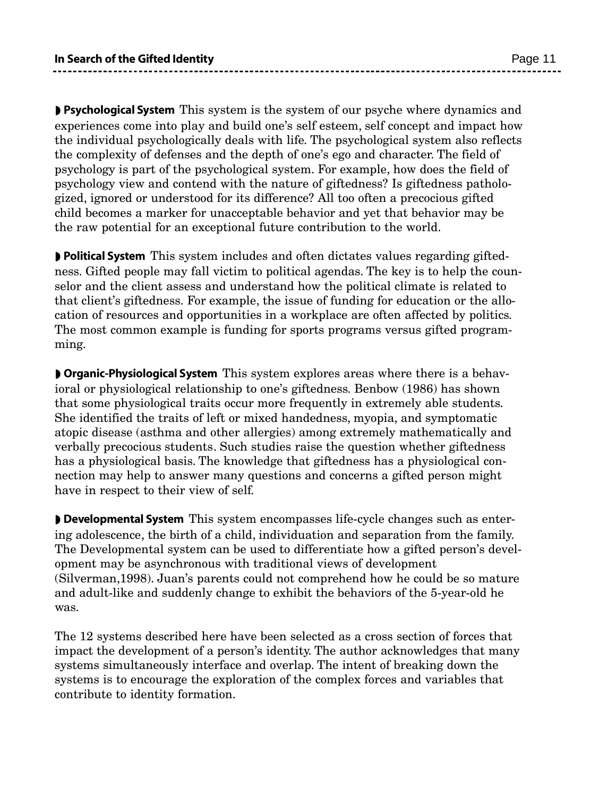◗ Psychological System This system is the system of our psyche where dynamics and experiences come into play and build one's self esteem, self concept and impact how the individual psychologically deals with life. The psychological system also reflects the complexity of defenses and the depth of one's ego and character. The field of psychology is part of the psychological system. For example, how does the field of psychology view and contend with the nature of giftedness? Is giftedness pathologized, ignored or understood for its difference? All too often a precocious gifted child becomes a marker for unacceptable behavior and yet that behavior may be the raw potential for an exceptional future contribution to the world.

◗ Political System This system includes and often dictates values regarding giftedness. Gifted people may fall victim to political agendas. The key is to help the counselor and the client assess and understand how the political climate is related to that client's giftedness. For example, the issue of funding for education or the allocation of resources and opportunities in a workplace are often affected by politics. The most common example is funding for sports programs versus gifted programming.

**D** Organic-Physiological System This system explores areas where there is a behavioral or physiological relationship to one's giftedness. Benbow (1986) has shown that some physiological traits occur more frequently in extremely able students. She identified the traits of left or mixed handedness, myopia, and symptomatic atopic disease (asthma and other allergies) among extremely mathematically and verbally precocious students. Such studies raise the question whether giftedness has a physiological basis. The knowledge that giftedness has a physiological connection may help to answer many questions and concerns a gifted person might have in respect to their view of self.

◗ Developmental System This system encompasses life-cycle changes such as entering adolescence, the birth of a child, individuation and separation from the family. The Developmental system can be used to differentiate how a gifted person's development may be asynchronous with traditional views of development (Silverman,1998). Juan's parents could not comprehend how he could be so mature and adult-like and suddenly change to exhibit the behaviors of the 5-year-old he was.

The 12 systems described here have been selected as a cross section of forces that impact the development of a person's identity. The author acknowledges that many systems simultaneously interface and overlap. The intent of breaking down the systems is to encourage the exploration of the complex forces and variables that contribute to identity formation.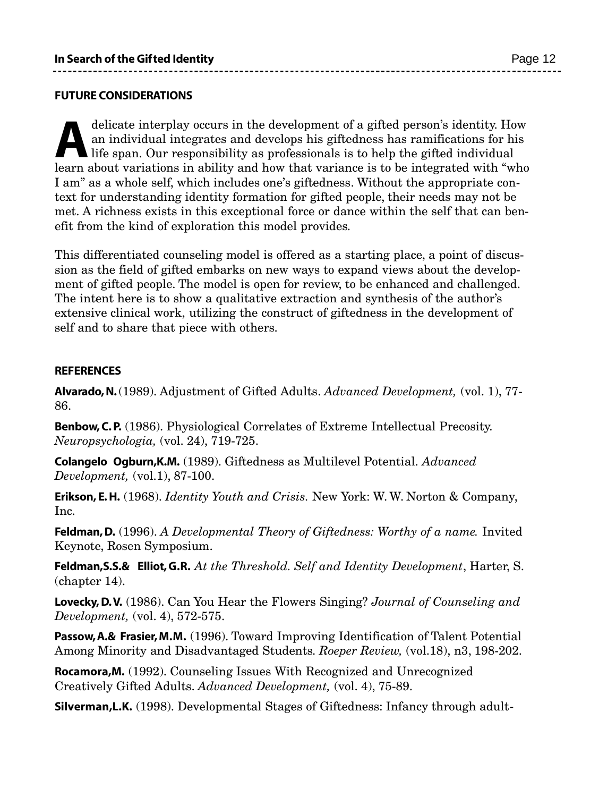#### FUTURE CONSIDERATIONS

delicate interplay occurs in the development of a gifted person's identity. How an individual integrates and develops his giftedness has ramifications for his life span. Our responsibility as professionals is to help the g delicate interplay occurs in the development of a gifted person's identity. How an individual integrates and develops his giftedness has ramifications for his life span. Our responsibility as professionals is to help the gifted individual I am" as a whole self, which includes one's giftedness. Without the appropriate context for understanding identity formation for gifted people, their needs may not be met. A richness exists in this exceptional force or dance within the self that can benefit from the kind of exploration this model provides.

This differentiated counseling model is offered as a starting place, a point of discussion as the field of gifted embarks on new ways to expand views about the development of gifted people. The model is open for review, to be enhanced and challenged. The intent here is to show a qualitative extraction and synthesis of the author's extensive clinical work, utilizing the construct of giftedness in the development of self and to share that piece with others.

#### **REFERENCES**

Alvarado,N.(1989). Adjustment of Gifted Adults. *Advanced Development,* (vol. 1), 77- 86.

Benbow, C. P. (1986). Physiological Correlates of Extreme Intellectual Precosity. *Neuropsychologia,* (vol. 24), 719-725.

Colangelo Ogburn,K.M. (1989). Giftedness as Multilevel Potential. *Advanced Development,* (vol.1), 87-100.

Erikson, E.H. (1968). *Identity Youth and Crisis.* New York: W. W. Norton & Company, Inc.

Feldman,D. (1996). *A Developmental Theory of Giftedness: Worthy of a name.* Invited Keynote, Rosen Symposium.

Feldman,S.S.& Elliot,G.R. *At the Threshold. Self and Identity Development*, Harter, S. (chapter 14).

**Lovecky, D.V.** (1986). Can You Hear the Flowers Singing? *Journal of Counseling and Development,* (vol. 4), 572-575.

Passow, A.& Frasier, M.M. (1996). Toward Improving Identification of Talent Potential Among Minority and Disadvantaged Students. *Roeper Review,* (vol.18), n3, 198-202.

Rocamora,M. (1992). Counseling Issues With Recognized and Unrecognized Creatively Gifted Adults. *Advanced Development,* (vol. 4), 75-89.

Silverman,L.K. (1998). Developmental Stages of Giftedness: Infancy through adult-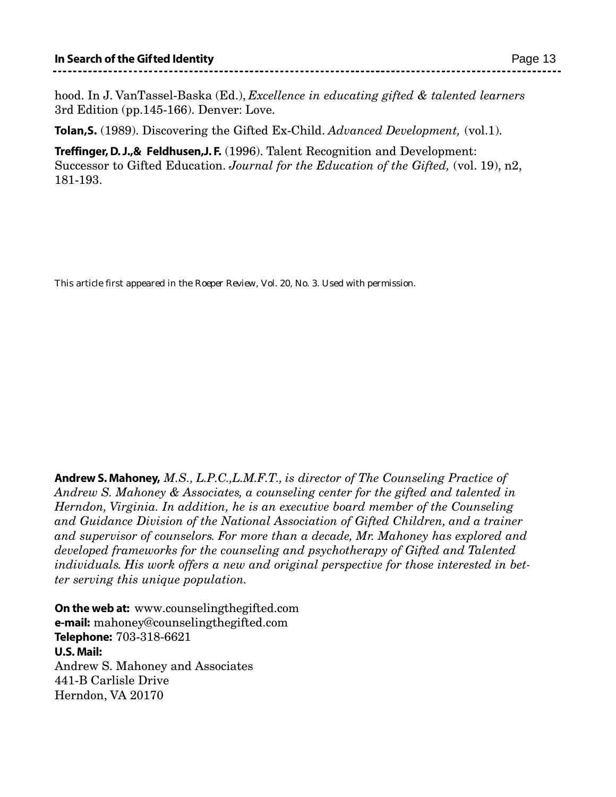hood. In J. VanTassel-Baska (Ed.), *Excellence in educating gifted & talented learners* 3rd Edition (pp.145-166). Denver: Love.

Tolan,S. (1989). Discovering the Gifted Ex-Child. *Advanced Development,* (vol.1).

Treffinger, D.J.,& Feldhusen,J. F. (1996). Talent Recognition and Development: Successor to Gifted Education. *Journal for the Education of the Gifted,* (vol. 19), n2, 181-193.

This article first appeared in the *Roeper Review*, Vol. 20, No. 3. Used with permission.

Andrew S. Mahoney, *M.S., L.P.C.,L.M.F.T., is director of The Counseling Practice of Andrew S. Mahoney & Associates, a counseling center for the gifted and talented in Herndon, Virginia. In addition, he is an executive board member of the Counseling and Guidance Division of the National Association of Gifted Children, and a trainer and supervisor of counselors. For more than a decade, Mr. Mahoney has explored and developed frameworks for the counseling and psychotherapy of Gifted and Talented individuals. His work offers a new and original perspective for those interested in better serving this unique population.*

On the web at: www.counselingthegifted.com **e-mail:** mahoney@counselingthegifted.com Telephone: 703-318-6621 U.S. Mail: Andrew S. Mahoney and Associates 441-B Carlisle Drive Herndon, VA 20170